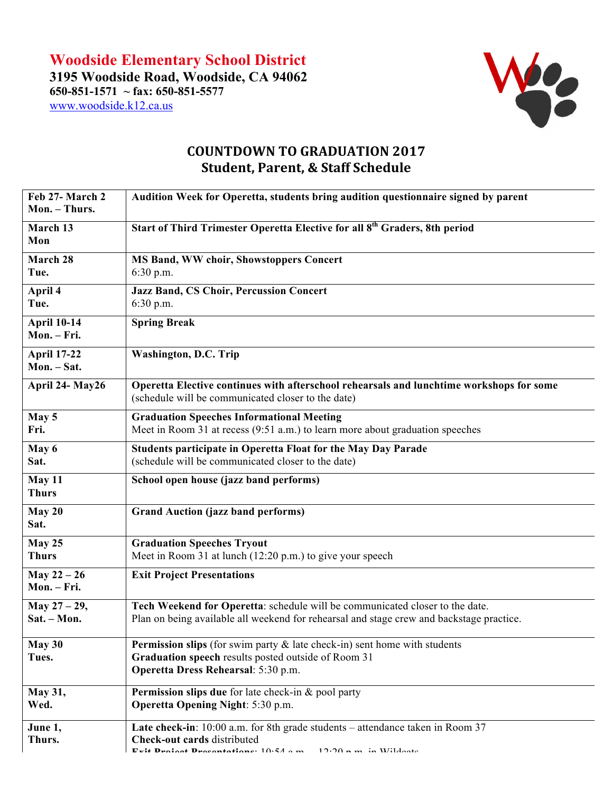

## **COUNTDOWN TO GRADUATION 2017 Student, Parent, & Staff Schedule**

| Feb 27- March 2<br>Mon. - Thurs.  | Audition Week for Operetta, students bring audition questionnaire signed by parent                                                                                                                                |
|-----------------------------------|-------------------------------------------------------------------------------------------------------------------------------------------------------------------------------------------------------------------|
| March 13<br>Mon                   | Start of Third Trimester Operetta Elective for all 8 <sup>th</sup> Graders, 8th period                                                                                                                            |
| March 28<br>Tue.                  | <b>MS Band, WW choir, Showstoppers Concert</b><br>$6:30$ p.m.                                                                                                                                                     |
| April 4<br>Tue.                   | <b>Jazz Band, CS Choir, Percussion Concert</b><br>6:30 p.m.                                                                                                                                                       |
| <b>April 10-14</b><br>Mon. - Fri. | <b>Spring Break</b>                                                                                                                                                                                               |
| <b>April 17-22</b><br>Mon. - Sat. | <b>Washington, D.C. Trip</b>                                                                                                                                                                                      |
| April 24- May26                   | Operetta Elective continues with afterschool rehearsals and lunchtime workshops for some<br>(schedule will be communicated closer to the date)                                                                    |
| May 5<br>Fri.                     | <b>Graduation Speeches Informational Meeting</b><br>Meet in Room 31 at recess (9:51 a.m.) to learn more about graduation speeches                                                                                 |
| May 6<br>Sat.                     | <b>Students participate in Operetta Float for the May Day Parade</b><br>(schedule will be communicated closer to the date)                                                                                        |
| May 11<br><b>Thurs</b>            | School open house (jazz band performs)                                                                                                                                                                            |
| May 20<br>Sat.                    | <b>Grand Auction (jazz band performs)</b>                                                                                                                                                                         |
| <b>May 25</b><br><b>Thurs</b>     | <b>Graduation Speeches Tryout</b><br>Meet in Room 31 at lunch (12:20 p.m.) to give your speech                                                                                                                    |
| May $22 - 26$<br>Mon. - Fri.      | <b>Exit Project Presentations</b>                                                                                                                                                                                 |
| May $27 - 29$ ,<br>Sat. - Mon.    | Tech Weekend for Operetta: schedule will be communicated closer to the date.<br>Plan on being available all weekend for rehearsal and stage crew and backstage practice.                                          |
| May 30<br>Tues.                   | <b>Permission slips</b> (for swim party $\&$ late check-in) sent home with students<br>Graduation speech results posted outside of Room 31<br>Operetta Dress Rehearsal: 5:30 p.m.                                 |
| May 31,<br>Wed.                   | <b>Permission slips due</b> for late check-in & pool party<br><b>Operetta Opening Night: 5:30 p.m.</b>                                                                                                            |
| June 1,<br>Thurs.                 | <b>Late check-in</b> : $10:00$ a.m. for 8th grade students – attendance taken in Room 37<br><b>Check-out cards distributed</b><br>$F$ vit Duoinnt Duonntationa: $10.54 \times m$<br>$12.20 \text{ m}$ in Wildoota |